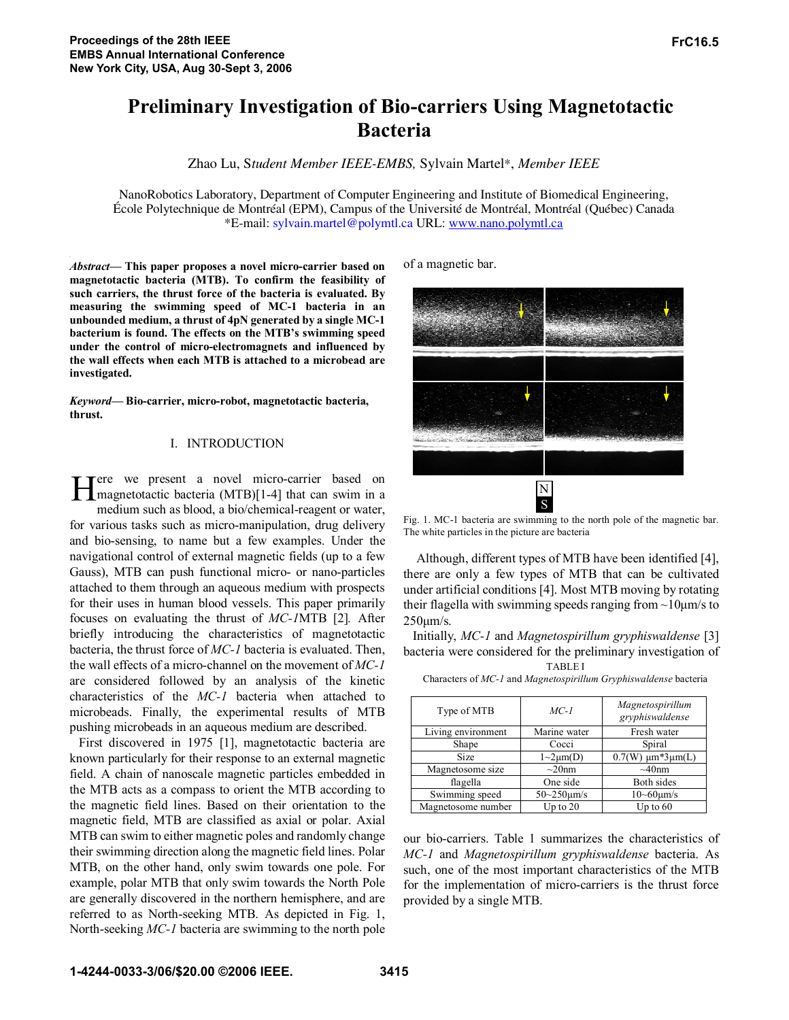# **Preliminary Investigation of Bio-carriers Using Magnetotactic Bacteria**

Zhao Lu, S*tudent Member IEEE-EMBS,* Sylvain Martel\*, *Member IEEE* 

NanoRobotics Laboratory, Department of Computer Engineering and Institute of Biomedical Engineering, École Polytechnique de Montréal (EPM), Campus of the Université de Montréal, Montréal (Québec) Canada \*E-mail: sylvain.martel@polymtl.ca URL: www.nano.polymtl.ca

*Abstract***— This paper proposes a novel micro-carrier based on magnetotactic bacteria (MTB). To confirm the feasibility of such carriers, the thrust force of the bacteria is evaluated. By measuring the swimming speed of MC-1 bacteria in an unbounded medium, a thrust of 4pN generated by a single MC-1 bacterium is found. The effects on the MTB's swimming speed under the control of micro-electromagnets and influenced by the wall effects when each MTB is attached to a microbead are investigated.** 

*Keyword***— Bio-carrier, micro-robot, magnetotactic bacteria, thrust.** 

## I. INTRODUCTION

**Tere** we present a novel micro-carrier based on Here we present a novel micro-carrier based on magnetotactic bacteria (MTB)[1-4] that can swim in a medium such as blood, a bio/chemical-reagent or water, for various tasks such as micro-manipulation, drug delivery and bio-sensing, to name but a few examples. Under the navigational control of external magnetic fields (up to a few Gauss), MTB can push functional micro- or nano-particles attached to them through an aqueous medium with prospects for their uses in human blood vessels. This paper primarily focuses on evaluating the thrust of *MC-1*MTB [2]*.* After briefly introducing the characteristics of magnetotactic bacteria, the thrust force of *MC-1* bacteria is evaluated. Then, the wall effects of a micro-channel on the movement of *MC-1* are considered followed by an analysis of the kinetic characteristics of the *MC-1* bacteria when attached to microbeads. Finally, the experimental results of MTB pushing microbeads in an aqueous medium are described.

First discovered in 1975 [1], magnetotactic bacteria are known particularly for their response to an external magnetic field. A chain of nanoscale magnetic particles embedded in the MTB acts as a compass to orient the MTB according to the magnetic field lines. Based on their orientation to the magnetic field, MTB are classified as axial or polar. Axial MTB can swim to either magnetic poles and randomly change their swimming direction along the magnetic field lines. Polar MTB, on the other hand, only swim towards one pole. For example, polar MTB that only swim towards the North Pole are generally discovered in the northern hemisphere, and are referred to as North-seeking MTB. As depicted in Fig. 1, North-seeking *MC-1* bacteria are swimming to the north pole of a magnetic bar.



Fig. 1. MC-1 bacteria are swimming to the north pole of the magnetic bar. The white particles in the picture are bacteria

 Although, different types of MTB have been identified [4], there are only a few types of MTB that can be cultivated under artificial conditions [4]. Most MTB moving by rotating their flagella with swimming speeds ranging from  $\sim$ 10 $\mu$ m/s to 250μm/s.

Initially, *MC-1* and *Magnetospirillum gryphiswaldense* [3] bacteria were considered for the preliminary investigation of

| <b>TABLEI</b> |  |
|---------------|--|
|---------------|--|

| Type of MTB        | $MC-1$              | Magnetospirillum<br>gryphiswaldense |
|--------------------|---------------------|-------------------------------------|
| Living environment | Marine water        | Fresh water                         |
| Shape              | Cocci               | Spiral                              |
| Size               | $1 \sim 2 \mu m(D)$ | $0.7(W) \mu m*3\mu m(L)$            |
| Magnetosome size   | $\sim 20$ nm        | $~10$ nm                            |
| flagella           | One side            | Both sides                          |
| Swimming speed     | $50 - 250$ um/s     | $10 - 60 \mu m/s$                   |
| Magnetosome number | Up to $20$          | Up to $60$                          |

our bio-carriers. Table 1 summarizes the characteristics of *MC-1* and *Magnetospirillum gryphiswaldense* bacteria. As such, one of the most important characteristics of the MTB for the implementation of micro-carriers is the thrust force provided by a single MTB.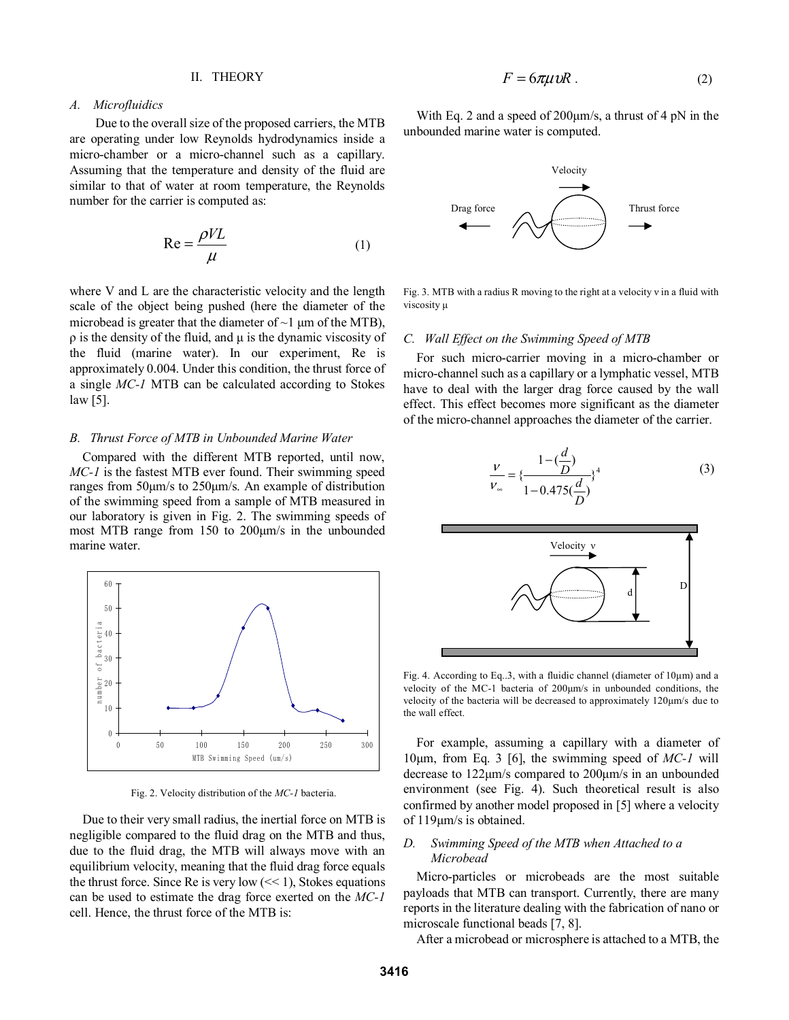#### II. THEORY

# *A. Microfluidics*

 Due to the overall size of the proposed carriers, the MTB are operating under low Reynolds hydrodynamics inside a micro-chamber or a micro-channel such as a capillary. Assuming that the temperature and density of the fluid are similar to that of water at room temperature, the Reynolds number for the carrier is computed as:

$$
Re = \frac{\rho V L}{\mu}
$$
 (1)

where V and L are the characteristic velocity and the length scale of the object being pushed (here the diameter of the microbead is greater that the diameter of  $\sim$ 1 μm of the MTB),  $\rho$  is the density of the fluid, and  $\mu$  is the dynamic viscosity of the fluid (marine water). In our experiment, Re is approximately 0.004. Under this condition, the thrust force of a single *MC-1* MTB can be calculated according to Stokes law [5].

## *B. Thrust Force of MTB in Unbounded Marine Water*

Compared with the different MTB reported, until now, *MC-1* is the fastest MTB ever found. Their swimming speed ranges from 50μm/s to 250μm/s. An example of distribution of the swimming speed from a sample of MTB measured in our laboratory is given in Fig. 2. The swimming speeds of most MTB range from 150 to 200μm/s in the unbounded marine water.



Fig. 2. Velocity distribution of the *MC-1* bacteria.

Due to their very small radius, the inertial force on MTB is negligible compared to the fluid drag on the MTB and thus, due to the fluid drag, the MTB will always move with an equilibrium velocity, meaning that the fluid drag force equals the thrust force. Since Re is very low  $\ll 1$ , Stokes equations can be used to estimate the drag force exerted on the *MC-1* cell. Hence, the thrust force of the MTB is:

$$
F = 6\pi\mu vR \tag{2}
$$

With Eq. 2 and a speed of 200 km/s, a thrust of 4 pN in the unbounded marine water is computed.



Fig. 3. MTB with a radius R moving to the right at a velocity v in a fluid with viscosity μ

### *C. Wall Effect on the Swimming Speed of MTB*

 For such micro-carrier moving in a micro-chamber or micro-channel such as a capillary or a lymphatic vessel, MTB have to deal with the larger drag force caused by the wall effect. This effect becomes more significant as the diameter of the micro-channel approaches the diameter of the carrier.

$$
\frac{v}{v_{\infty}} = \{\frac{1 - (\frac{d}{D})}{1 - 0.475(\frac{d}{D})}\}^{4}
$$
(3)



Fig. 4. According to Eq..3, with a fluidic channel (diameter of 10μm) and a velocity of the MC-1 bacteria of 200μm/s in unbounded conditions, the velocity of the bacteria will be decreased to approximately 120μm/s due to the wall effect.

For example, assuming a capillary with a diameter of 10μm, from Eq. 3 [6], the swimming speed of *MC-1* will decrease to 122μm/s compared to 200μm/s in an unbounded environment (see Fig. 4). Such theoretical result is also confirmed by another model proposed in [5] where a velocity of 119μm/s is obtained.

# *D. Swimming Speed of the MTB when Attached to a Microbead*

 Micro-particles or microbeads are the most suitable payloads that MTB can transport. Currently, there are many reports in the literature dealing with the fabrication of nano or microscale functional beads [7, 8].

After a microbead or microsphere is attached to a MTB, the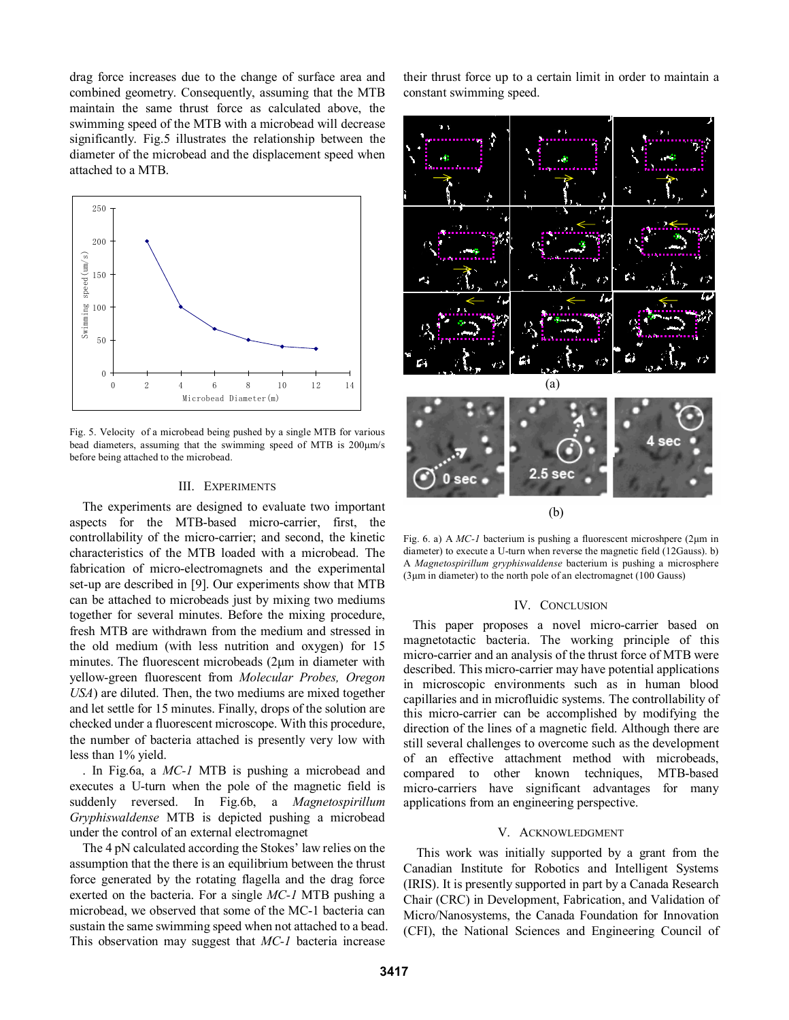drag force increases due to the change of surface area and combined geometry. Consequently, assuming that the MTB maintain the same thrust force as calculated above, the swimming speed of the MTB with a microbead will decrease significantly. Fig.5 illustrates the relationship between the diameter of the microbead and the displacement speed when attached to a MTB.



Fig. 5. Velocity of a microbead being pushed by a single MTB for various bead diameters, assuming that the swimming speed of MTB is 200μm/s before being attached to the microbead.

## III. EXPERIMENTS

The experiments are designed to evaluate two important aspects for the MTB-based micro-carrier, first, the controllability of the micro-carrier; and second, the kinetic characteristics of the MTB loaded with a microbead. The fabrication of micro-electromagnets and the experimental set-up are described in [9]. Our experiments show that MTB can be attached to microbeads just by mixing two mediums together for several minutes. Before the mixing procedure, fresh MTB are withdrawn from the medium and stressed in the old medium (with less nutrition and oxygen) for 15 minutes. The fluorescent microbeads (2μm in diameter with yellow-green fluorescent from *Molecular Probes, Oregon USA*) are diluted. Then, the two mediums are mixed together and let settle for 15 minutes. Finally, drops of the solution are checked under a fluorescent microscope. With this procedure, the number of bacteria attached is presently very low with less than 1% yield.

. In Fig.6a, a *MC-1* MTB is pushing a microbead and executes a U-turn when the pole of the magnetic field is suddenly reversed. In Fig.6b, a *Magnetospirillum Gryphiswaldense* MTB is depicted pushing a microbead under the control of an external electromagnet

The 4 pN calculated according the Stokes' law relies on the assumption that the there is an equilibrium between the thrust force generated by the rotating flagella and the drag force exerted on the bacteria. For a single *MC-1* MTB pushing a microbead, we observed that some of the MC-1 bacteria can sustain the same swimming speed when not attached to a bead. This observation may suggest that *MC-1* bacteria increase

their thrust force up to a certain limit in order to maintain a constant swimming speed.



(b)

Fig. 6. a) A *MC-1* bacterium is pushing a fluorescent microshpere (2μm in diameter) to execute a U-turn when reverse the magnetic field (12Gauss). b) A *Magnetospirillum gryphiswaldense* bacterium is pushing a microsphere (3μm in diameter) to the north pole of an electromagnet (100 Gauss)

#### IV. CONCLUSION

This paper proposes a novel micro-carrier based on magnetotactic bacteria. The working principle of this micro-carrier and an analysis of the thrust force of MTB were described. This micro-carrier may have potential applications in microscopic environments such as in human blood capillaries and in microfluidic systems. The controllability of this micro-carrier can be accomplished by modifying the direction of the lines of a magnetic field. Although there are still several challenges to overcome such as the development of an effective attachment method with microbeads, compared to other known techniques, MTB-based micro-carriers have significant advantages for many applications from an engineering perspective.

## V. ACKNOWLEDGMENT

This work was initially supported by a grant from the Canadian Institute for Robotics and Intelligent Systems (IRIS). It is presently supported in part by a Canada Research Chair (CRC) in Development, Fabrication, and Validation of Micro/Nanosystems, the Canada Foundation for Innovation (CFI), the National Sciences and Engineering Council of